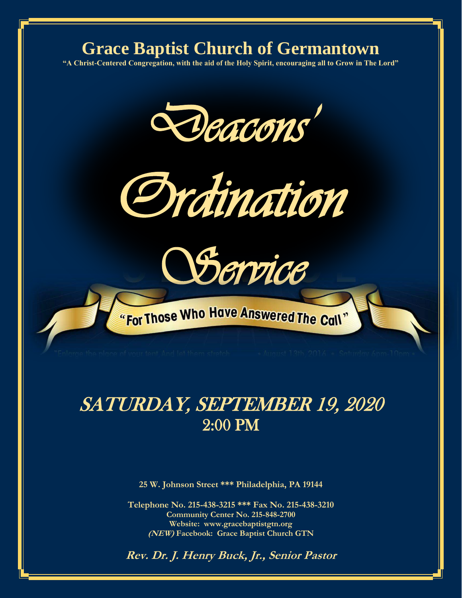#### **Grace Baptist Church of Germantown**

**"A Christ-Centered Congregation, with the aid of the Holy Spirit, encouraging all to Grow in The Lord"**







E i

## SATURDAY, SEPTEMBER 19, 2020 2:00 PM

**25 W. Johnson Street \*\*\* Philadelphia, PA 19144**

**Telephone No. 215-438-3215 \*\*\* Fax No. 215-438-3210 Community Center No. 215-848-2700 Website: www.gracebaptistgtn.org (NEW) Facebook: Grace Baptist Church GTN**

**Rev. Dr. J. Henry Buck, Jr., Senior Pastor**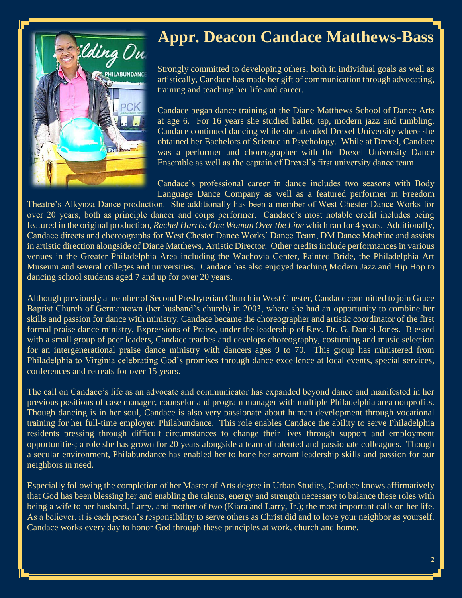

## **Appr. Deacon Candace Matthews-Bass**

Strongly committed to developing others, both in individual goals as well as artistically, Candace has made her gift of communication through advocating, training and teaching her life and career.

Candace began dance training at the Diane Matthews School of Dance Arts at age 6. For 16 years she studied ballet, tap, modern jazz and tumbling. Candace continued dancing while she attended Drexel University where she obtained her Bachelors of Science in Psychology. While at Drexel, Candace was a performer and choreographer with the Drexel University Dance Ensemble as well as the captain of Drexel's first university dance team.

Candace's professional career in dance includes two seasons with Body Language Dance Company as well as a featured performer in Freedom

Theatre's Alkynza Dance production. She additionally has been a member of West Chester Dance Works for over 20 years, both as principle dancer and corps performer. Candace's most notable credit includes being featured in the original production, *Rachel Harris: One Woman Over the Line* which ran for 4 years. Additionally, Candace directs and choreographs for West Chester Dance Works' Dance Team, DM Dance Machine and assists in artistic direction alongside of Diane Matthews, Artistic Director. Other credits include performances in various venues in the Greater Philadelphia Area including the Wachovia Center, Painted Bride, the Philadelphia Art Museum and several colleges and universities. Candace has also enjoyed teaching Modern Jazz and Hip Hop to dancing school students aged 7 and up for over 20 years.

Although previously a member of Second Presbyterian Church in West Chester, Candace committed to join Grace Baptist Church of Germantown (her husband's church) in 2003, where she had an opportunity to combine her skills and passion for dance with ministry. Candace became the choreographer and artistic coordinator of the first formal praise dance ministry, Expressions of Praise, under the leadership of Rev. Dr. G. Daniel Jones. Blessed with a small group of peer leaders, Candace teaches and develops choreography, costuming and music selection for an intergenerational praise dance ministry with dancers ages 9 to 70. This group has ministered from Philadelphia to Virginia celebrating God's promises through dance excellence at local events, special services, conferences and retreats for over 15 years.

The call on Candace's life as an advocate and communicator has expanded beyond dance and manifested in her previous positions of case manager, counselor and program manager with multiple Philadelphia area nonprofits. Though dancing is in her soul, Candace is also very passionate about human development through vocational training for her full-time employer, Philabundance. This role enables Candace the ability to serve Philadelphia residents pressing through difficult circumstances to change their lives through support and employment opportunities; a role she has grown for 20 years alongside a team of talented and passionate colleagues. Though a secular environment, Philabundance has enabled her to hone her servant leadership skills and passion for our neighbors in need.

Especially following the completion of her Master of Arts degree in Urban Studies, Candace knows affirmatively that God has been blessing her and enabling the talents, energy and strength necessary to balance these roles with being a wife to her husband, Larry, and mother of two (Kiara and Larry, Jr.); the most important calls on her life. As a believer, it is each person's responsibility to serve others as Christ did and to love your neighbor as yourself. Candace works every day to honor God through these principles at work, church and home.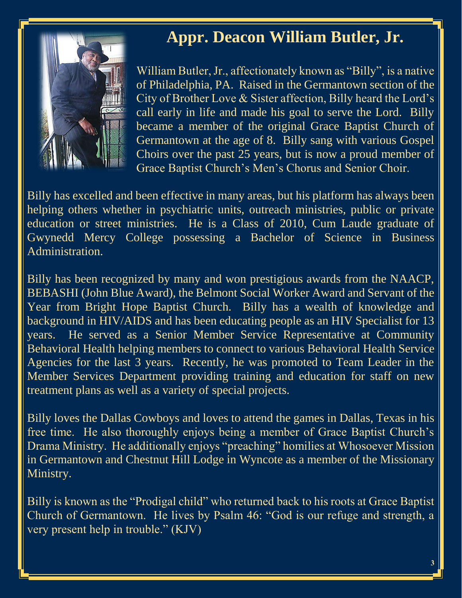#### **Appr. Deacon William Butler, Jr.**



William Butler, Jr., affectionately known as "Billy", is a native of Philadelphia, PA. Raised in the Germantown section of the City of Brother Love & Sister affection, Billy heard the Lord's call early in life and made his goal to serve the Lord. Billy became a member of the original Grace Baptist Church of Germantown at the age of 8. Billy sang with various Gospel Choirs over the past 25 years, but is now a proud member of Grace Baptist Church's Men's Chorus and Senior Choir.

Billy has excelled and been effective in many areas, but his platform has always been helping others whether in psychiatric units, outreach ministries, public or private education or street ministries. He is a Class of 2010, Cum Laude graduate of Gwynedd Mercy College possessing a Bachelor of Science in Business Administration.

Billy has been recognized by many and won prestigious awards from the NAACP, BEBASHI (John Blue Award), the Belmont Social Worker Award and Servant of the Year from Bright Hope Baptist Church. Billy has a wealth of knowledge and background in HIV/AIDS and has been educating people as an HIV Specialist for 13 years. He served as a Senior Member Service Representative at Community Behavioral Health helping members to connect to various Behavioral Health Service Agencies for the last 3 years. Recently, he was promoted to Team Leader in the Member Services Department providing training and education for staff on new treatment plans as well as a variety of special projects.

Billy loves the Dallas Cowboys and loves to attend the games in Dallas, Texas in his free time. He also thoroughly enjoys being a member of Grace Baptist Church's Drama Ministry. He additionally enjoys "preaching" homilies at Whosoever Mission in Germantown and Chestnut Hill Lodge in Wyncote as a member of the Missionary Ministry.

Billy is known as the "Prodigal child" who returned back to his roots at Grace Baptist Church of Germantown. He lives by Psalm 46: "God is our refuge and strength, a very present help in trouble." (KJV)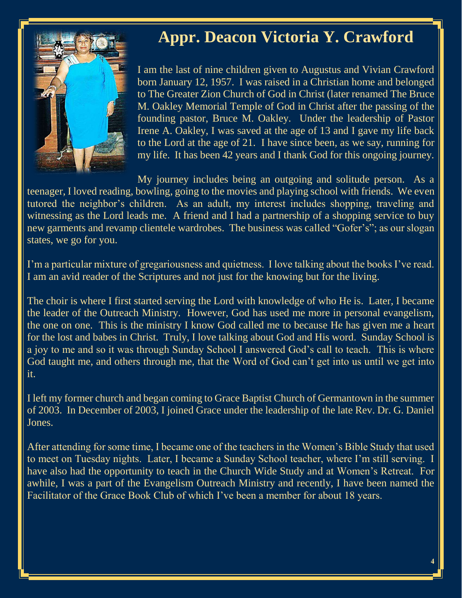### **Appr. Deacon Victoria Y. Crawford**

I am the last of nine children given to Augustus and Vivian Crawford born January 12, 1957. I was raised in a Christian home and belonged to The Greater Zion Church of God in Christ (later renamed The Bruce M. Oakley Memorial Temple of God in Christ after the passing of the founding pastor, Bruce M. Oakley. Under the leadership of Pastor Irene A. Oakley, I was saved at the age of 13 and I gave my life back to the Lord at the age of 21. I have since been, as we say, running for my life. It has been 42 years and I thank God for this ongoing journey.

My journey includes being an outgoing and solitude person. As a teenager, I loved reading, bowling, going to the movies and playing school with friends. We even tutored the neighbor's children. As an adult, my interest includes shopping, traveling and witnessing as the Lord leads me. A friend and I had a partnership of a shopping service to buy new garments and revamp clientele wardrobes. The business was called "Gofer's"; as our slogan states, we go for you.

I'm a particular mixture of gregariousness and quietness. I love talking about the books I've read. I am an avid reader of the Scriptures and not just for the knowing but for the living.

The choir is where I first started serving the Lord with knowledge of who He is. Later, I became the leader of the Outreach Ministry. However, God has used me more in personal evangelism, the one on one. This is the ministry I know God called me to because He has given me a heart for the lost and babes in Christ. Truly, I love talking about God and His word. Sunday School is a joy to me and so it was through Sunday School I answered God's call to teach. This is where God taught me, and others through me, that the Word of God can't get into us until we get into it.

I left my former church and began coming to Grace Baptist Church of Germantown in the summer of 2003. In December of 2003, I joined Grace under the leadership of the late Rev. Dr. G. Daniel Jones.

After attending for some time, I became one of the teachers in the Women's Bible Study that used to meet on Tuesday nights. Later, I became a Sunday School teacher, where I'm still serving. I have also had the opportunity to teach in the Church Wide Study and at Women's Retreat. For awhile, I was a part of the Evangelism Outreach Ministry and recently, I have been named the Facilitator of the Grace Book Club of which I've been a member for about 18 years.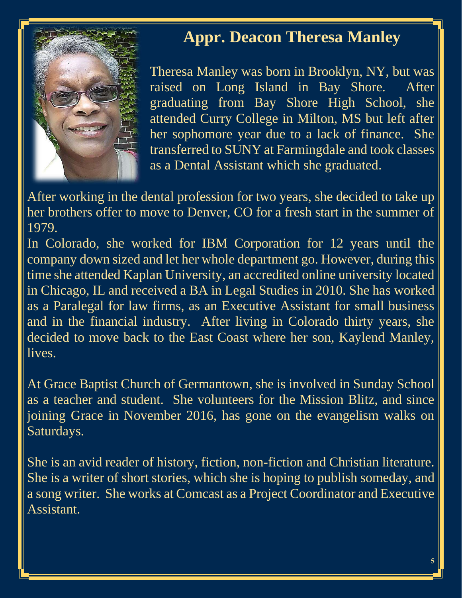

#### **Appr. Deacon Theresa Manley**

Theresa Manley was born in Brooklyn, NY, but was raised on Long Island in Bay Shore. After graduating from Bay Shore High School, she attended Curry College in Milton, MS but left after her sophomore year due to a lack of finance. She transferred to SUNY at Farmingdale and took classes as a Dental Assistant which she graduated.

After working in the dental profession for two years, she decided to take up her brothers offer to move to Denver, CO for a fresh start in the summer of 1979.

In Colorado, she worked for IBM Corporation for 12 years until the company down sized and let her whole department go. However, during this time she attended Kaplan University, an accredited online university located in Chicago, IL and received a BA in Legal Studies in 2010. She has worked as a Paralegal for law firms, as an Executive Assistant for small business and in the financial industry. After living in Colorado thirty years, she decided to move back to the East Coast where her son, Kaylend Manley, lives.

At Grace Baptist Church of Germantown, she is involved in Sunday School as a teacher and student. She volunteers for the Mission Blitz, and since joining Grace in November 2016, has gone on the evangelism walks on Saturdays.

She is an avid reader of history, fiction, non-fiction and Christian literature. She is a writer of short stories, which she is hoping to publish someday, and a song writer. She works at Comcast as a Project Coordinator and Executive Assistant.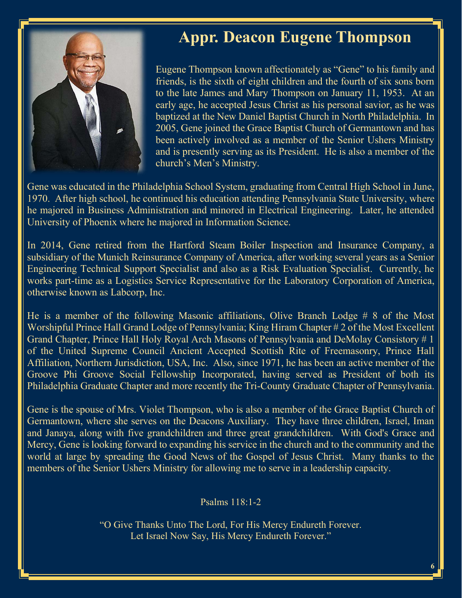

#### **Appr. Deacon Eugene Thompson**

Eugene Thompson known affectionately as "Gene" to his family and friends, is the sixth of eight children and the fourth of six sons born to the late James and Mary Thompson on January 11, 1953. At an early age, he accepted Jesus Christ as his personal savior, as he was baptized at the New Daniel Baptist Church in North Philadelphia. In 2005, Gene joined the Grace Baptist Church of Germantown and has been actively involved as a member of the Senior Ushers Ministry and is presently serving as its President. He is also a member of the church's Men's Ministry.

Gene was educated in the Philadelphia School System, graduating from Central High School in June, 1970. After high school, he continued his education attending Pennsylvania State University, where he majored in Business Administration and minored in Electrical Engineering. Later, he attended University of Phoenix where he majored in Information Science.

In 2014, Gene retired from the Hartford Steam Boiler Inspection and Insurance Company, a subsidiary of the Munich Reinsurance Company of America, after working several years as a Senior Engineering Technical Support Specialist and also as a Risk Evaluation Specialist. Currently, he works part-time as a Logistics Service Representative for the Laboratory Corporation of America, otherwise known as Labcorp, Inc.

He is a member of the following Masonic affiliations, Olive Branch Lodge # 8 of the Most Worshipful Prince Hall Grand Lodge of Pennsylvania; King Hiram Chapter # 2 of the Most Excellent Grand Chapter, Prince Hall Holy Royal Arch Masons of Pennsylvania and DeMolay Consistory # 1 of the United Supreme Council Ancient Accepted Scottish Rite of Freemasonry, Prince Hall Affiliation, Northern Jurisdiction, USA, Inc. Also, since 1971, he has been an active member of the Groove Phi Groove Social Fellowship Incorporated, having served as President of both its Philadelphia Graduate Chapter and more recently the Tri-County Graduate Chapter of Pennsylvania.

Gene is the spouse of Mrs. Violet Thompson, who is also a member of the Grace Baptist Church of Germantown, where she serves on the Deacons Auxiliary. They have three children, Israel, Iman and Janaya, along with five grandchildren and three great grandchildren. With God's Grace and Mercy, Gene is looking forward to expanding his service in the church and to the community and the world at large by spreading the Good News of the Gospel of Jesus Christ. Many thanks to the members of the Senior Ushers Ministry for allowing me to serve in a leadership capacity.

Psalms 118:1-2

"O Give Thanks Unto The Lord, For His Mercy Endureth Forever. Let Israel Now Say, His Mercy Endureth Forever."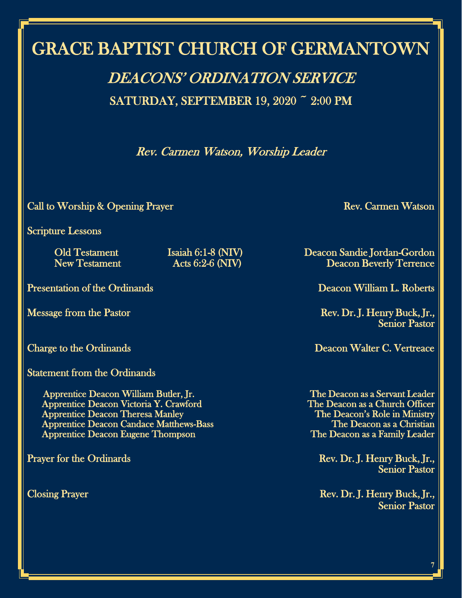## GRACE BAPTIST CHURCH OF GERMANTOWN

# DEACONS' ORDINATION SERVICE

SATURDAY, SEPTEMBER 19, 2020 ~ 2:00 PM

Rev. Carmen Watson, Worship Leader

Call to Worship & Opening Prayer Rev. Carmen Watson

Scripture Lessons

Presentation of the Ordinands **Deacon William L. Roberts** 

Statement from the Ordinands

 Apprentice Deacon William Butler, Jr. The Deacon as a Servant Leader Apprentice Deacon Victoria Y. Crawford Apprentice Deacon Theresa Manley<br>
Apprentice Deacon Candace Matthews-Bass<br>
The Deacon as a Christian Apprentice Deacon Candace Matthews-Bass The Deacon as a Christian<br>Apprentice Deacon Eugene Thompson The Deacon as a Family Leader Apprentice Deacon Eugene Thompson

Old Testament Isaiah 6:1-8 (NIV) Deacon Sandie Jordan-Gordon Deacon Beverly Terrence

Message from the Pastor **Rev. Dr. J. Henry Buck, Jr.,** Rev. Dr. J. Henry Buck, Jr., Senior Pastor

Charge to the Ordinands **Deacon Walter C. Vertreace** 

Prayer for the Ordinards Rev. Dr. J. Henry Buck, Jr., Senior Pastor

Closing Prayer Rev. Dr. J. Henry Buck, Jr., Senior Pastor

**7**